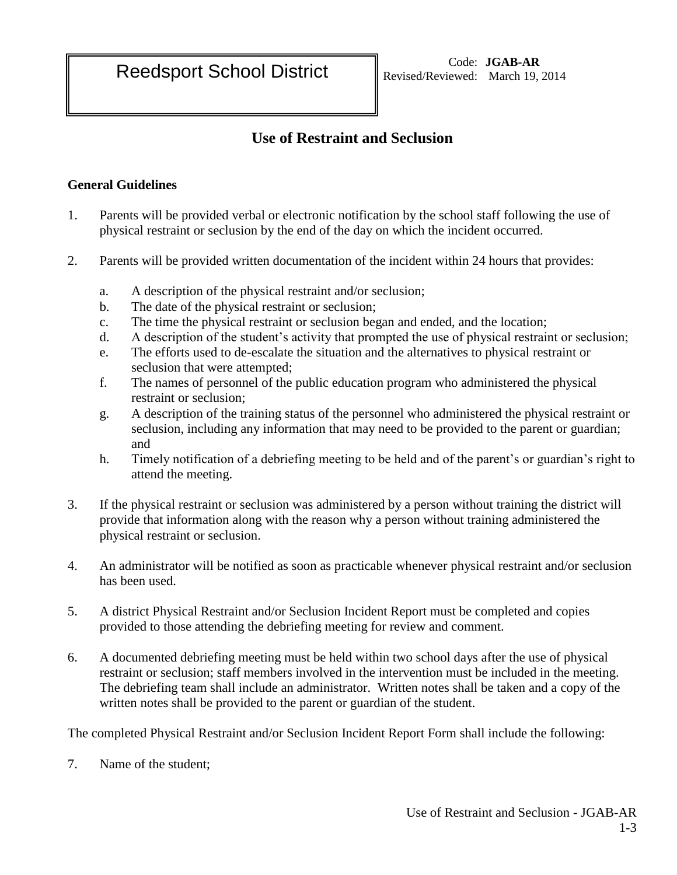## **Use of Restraint and Seclusion**

## **General Guidelines**

- 1. Parents will be provided verbal or electronic notification by the school staff following the use of physical restraint or seclusion by the end of the day on which the incident occurred.
- 2. Parents will be provided written documentation of the incident within 24 hours that provides:
	- a. A description of the physical restraint and/or seclusion;
	- b. The date of the physical restraint or seclusion;
	- c. The time the physical restraint or seclusion began and ended, and the location;
	- d. A description of the student's activity that prompted the use of physical restraint or seclusion;
	- e. The efforts used to de-escalate the situation and the alternatives to physical restraint or seclusion that were attempted;
	- f. The names of personnel of the public education program who administered the physical restraint or seclusion;
	- g. A description of the training status of the personnel who administered the physical restraint or seclusion, including any information that may need to be provided to the parent or guardian; and
	- h. Timely notification of a debriefing meeting to be held and of the parent's or guardian's right to attend the meeting.
- 3. If the physical restraint or seclusion was administered by a person without training the district will provide that information along with the reason why a person without training administered the physical restraint or seclusion.
- 4. An administrator will be notified as soon as practicable whenever physical restraint and/or seclusion has been used.
- 5. A district Physical Restraint and/or Seclusion Incident Report must be completed and copies provided to those attending the debriefing meeting for review and comment.
- 6. A documented debriefing meeting must be held within two school days after the use of physical restraint or seclusion; staff members involved in the intervention must be included in the meeting. The debriefing team shall include an administrator. Written notes shall be taken and a copy of the written notes shall be provided to the parent or guardian of the student.

The completed Physical Restraint and/or Seclusion Incident Report Form shall include the following:

7. Name of the student;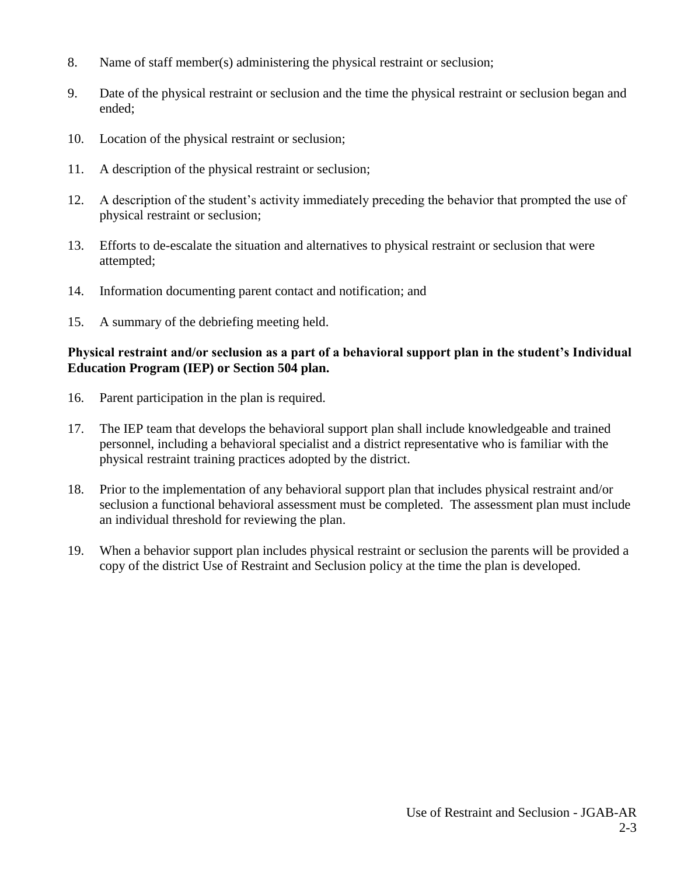- 8. Name of staff member(s) administering the physical restraint or seclusion;
- 9. Date of the physical restraint or seclusion and the time the physical restraint or seclusion began and ended;
- 10. Location of the physical restraint or seclusion;
- 11. A description of the physical restraint or seclusion;
- 12. A description of the student's activity immediately preceding the behavior that prompted the use of physical restraint or seclusion;
- 13. Efforts to de-escalate the situation and alternatives to physical restraint or seclusion that were attempted;
- 14. Information documenting parent contact and notification; and
- 15. A summary of the debriefing meeting held.

## **Physical restraint and/or seclusion as a part of a behavioral support plan in the student's Individual Education Program (IEP) or Section 504 plan.**

- 16. Parent participation in the plan is required.
- 17. The IEP team that develops the behavioral support plan shall include knowledgeable and trained personnel, including a behavioral specialist and a district representative who is familiar with the physical restraint training practices adopted by the district.
- 18. Prior to the implementation of any behavioral support plan that includes physical restraint and/or seclusion a functional behavioral assessment must be completed. The assessment plan must include an individual threshold for reviewing the plan.
- 19. When a behavior support plan includes physical restraint or seclusion the parents will be provided a copy of the district Use of Restraint and Seclusion policy at the time the plan is developed.